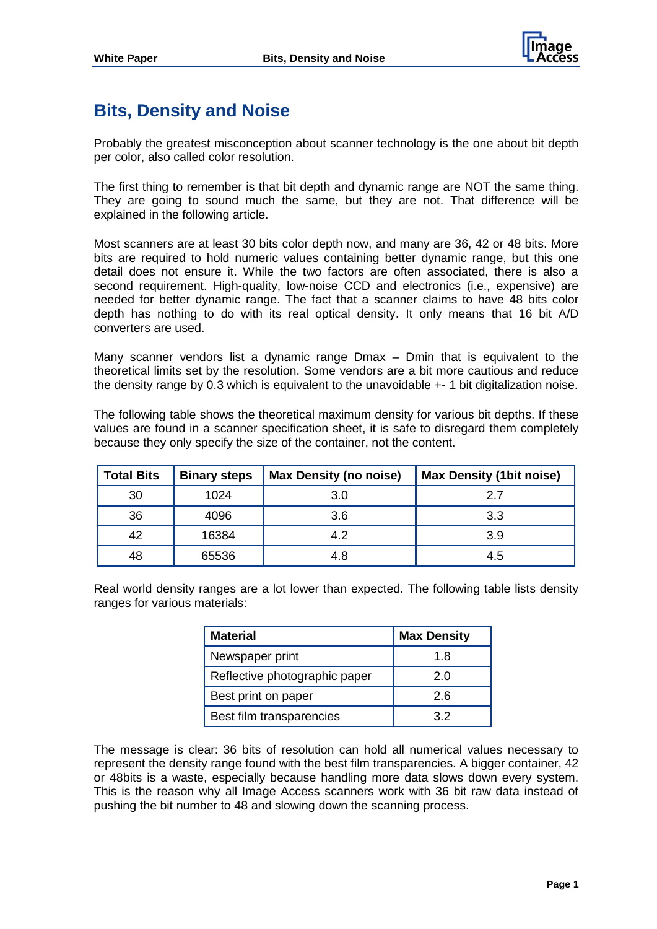

## **Bits, Density and Noise**

Probably the greatest misconception about scanner technology is the one about bit depth per color, also called color resolution.

The first thing to remember is that bit depth and dynamic range are NOT the same thing. They are going to sound much the same, but they are not. That difference will be explained in the following article.

Most scanners are at least 30 bits color depth now, and many are 36, 42 or 48 bits. More bits are required to hold numeric values containing better dynamic range, but this one detail does not ensure it. While the two factors are often associated, there is also a second requirement. High-quality, low-noise CCD and electronics (i.e., expensive) are needed for better dynamic range. The fact that a scanner claims to have 48 bits color depth has nothing to do with its real optical density. It only means that 16 bit A/D converters are used.

Many scanner vendors list a dynamic range Dmax – Dmin that is equivalent to the theoretical limits set by the resolution. Some vendors are a bit more cautious and reduce the density range by 0.3 which is equivalent to the unavoidable +- 1 bit digitalization noise.

The following table shows the theoretical maximum density for various bit depths. If these values are found in a scanner specification sheet, it is safe to disregard them completely because they only specify the size of the container, not the content.

| Total Bits | <b>Binary steps</b> | <b>Max Density (no noise)</b> | <b>Max Density (1bit noise)</b> |
|------------|---------------------|-------------------------------|---------------------------------|
| 30         | 1024                | 3.0                           | 2.7                             |
| 36         | 4096                | 3.6                           | 3.3                             |
| 42         | 16384               | 4.2                           | 3.9                             |
| 48         | 65536               | 4.8                           | 4.5                             |

Real world density ranges are a lot lower than expected. The following table lists density ranges for various materials:

| <b>Material</b>               | <b>Max Density</b> |
|-------------------------------|--------------------|
| Newspaper print               | 1.8                |
| Reflective photographic paper | 2.0                |
| Best print on paper           | 2.6                |
| Best film transparencies      | 32                 |

The message is clear: 36 bits of resolution can hold all numerical values necessary to represent the density range found with the best film transparencies. A bigger container, 42 or 48bits is a waste, especially because handling more data slows down every system. This is the reason why all Image Access scanners work with 36 bit raw data instead of pushing the bit number to 48 and slowing down the scanning process.